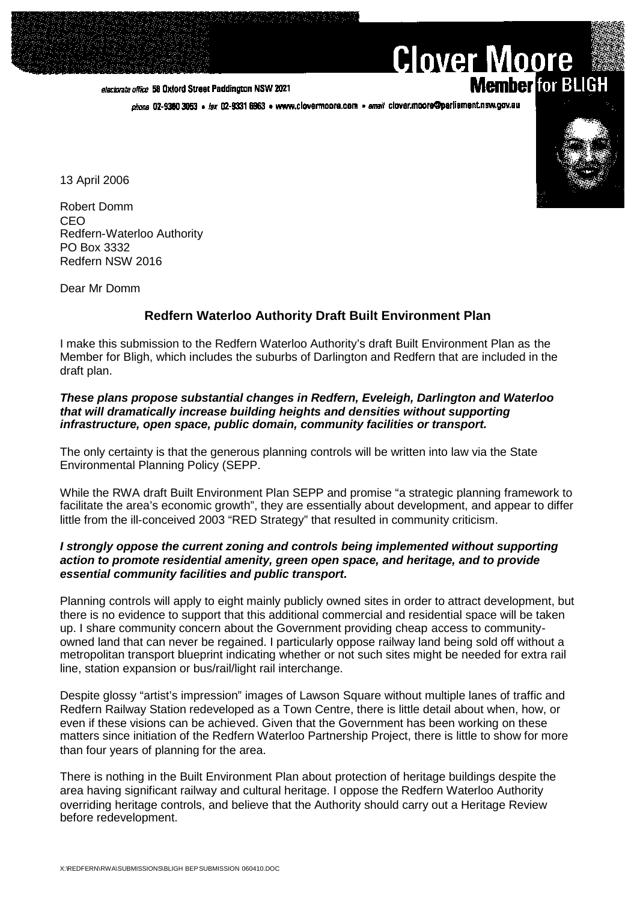#### electorate office 58 Oxford Street Paddington NSW 2021

phone 02-9360 3053 · fax 02-9331 6963 · www.clovermoore.com · email clover.moore@parliament.nsw.gov.au

13 April 2006

Robert Domm CEO Redfern-Waterloo Authority PO Box 3332 Redfern NSW 2016

Dear Mr Domm

# **Redfern Waterloo Authority Draft Built Environment Plan**

I make this submission to the Redfern Waterloo Authority's draft Built Environment Plan as the Member for Bligh, which includes the suburbs of Darlington and Redfern that are included in the draft plan.

### *These plans propose substantial changes in Redfern, Eveleigh, Darlington and Waterloo that will dramatically increase building heights and densities without supporting infrastructure, open space, public domain, community facilities or transport.*

The only certainty is that the generous planning controls will be written into law via the State Environmental Planning Policy (SEPP.

While the RWA draft Built Environment Plan SEPP and promise "a strategic planning framework to facilitate the area's economic growth", they are essentially about development, and appear to differ little from the ill-conceived 2003 "RED Strategy" that resulted in community criticism.

# *I strongly oppose the current zoning and controls being implemented without supporting action to promote residential amenity, green open space, and heritage, and to provide essential community facilities and public transport.*

Planning controls will apply to eight mainly publicly owned sites in order to attract development, but there is no evidence to support that this additional commercial and residential space will be taken up. I share community concern about the Government providing cheap access to communityowned land that can never be regained. I particularly oppose railway land being sold off without a metropolitan transport blueprint indicating whether or not such sites might be needed for extra rail line, station expansion or bus/rail/light rail interchange.

Despite glossy "artist's impression" images of Lawson Square without multiple lanes of traffic and Redfern Railway Station redeveloped as a Town Centre, there is little detail about when, how, or even if these visions can be achieved. Given that the Government has been working on these matters since initiation of the Redfern Waterloo Partnership Project, there is little to show for more than four years of planning for the area.

There is nothing in the Built Environment Plan about protection of heritage buildings despite the area having significant railway and cultural heritage. I oppose the Redfern Waterloo Authority overriding heritage controls, and believe that the Authority should carry out a Heritage Review before redevelopment.



**Member** for BLIGH

**Clover Moore**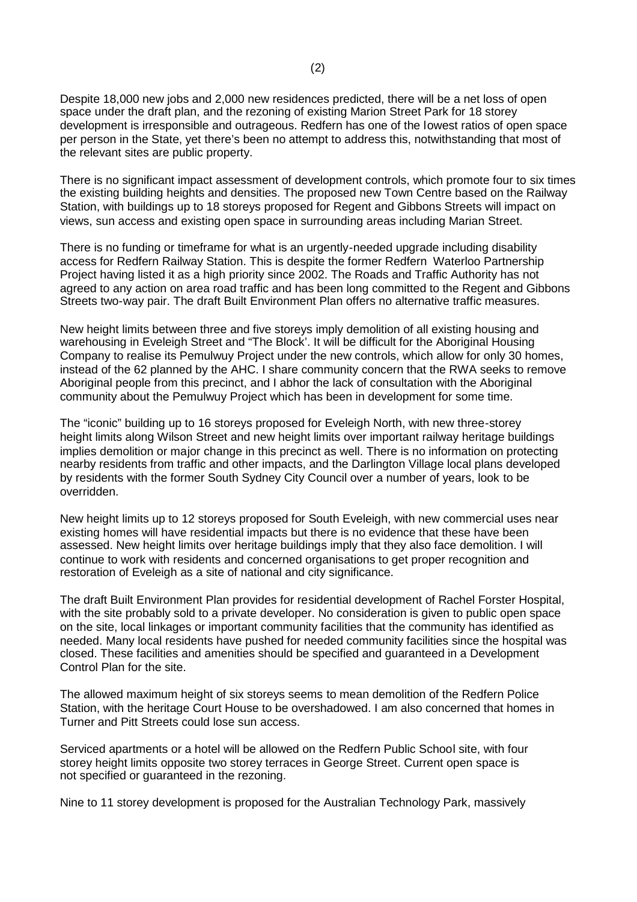Despite 18,000 new jobs and 2,000 new residences predicted, there will be a net loss of open space under the draft plan, and the rezoning of existing Marion Street Park for 18 storey development is irresponsible and outrageous. Redfern has one of the lowest ratios of open space per person in the State, yet there's been no attempt to address this, notwithstanding that most of the relevant sites are public property.

There is no significant impact assessment of development controls, which promote four to six times the existing building heights and densities. The proposed new Town Centre based on the Railway Station, with buildings up to 18 storeys proposed for Regent and Gibbons Streets will impact on views, sun access and existing open space in surrounding areas including Marian Street.

There is no funding or timeframe for what is an urgently-needed upgrade including disability access for Redfern Railway Station. This is despite the former Redfern Waterloo Partnership Project having listed it as a high priority since 2002. The Roads and Traffic Authority has not agreed to any action on area road traffic and has been long committed to the Regent and Gibbons Streets two-way pair. The draft Built Environment Plan offers no alternative traffic measures.

New height limits between three and five storeys imply demolition of all existing housing and warehousing in Eveleigh Street and "The Block'. It will be difficult for the Aboriginal Housing Company to realise its Pemulwuy Project under the new controls, which allow for only 30 homes, instead of the 62 planned by the AHC. I share community concern that the RWA seeks to remove Aboriginal people from this precinct, and I abhor the lack of consultation with the Aboriginal community about the Pemulwuy Project which has been in development for some time.

The "iconic" building up to 16 storeys proposed for Eveleigh North, with new three-storey height limits along Wilson Street and new height limits over important railway heritage buildings implies demolition or major change in this precinct as well. There is no information on protecting nearby residents from traffic and other impacts, and the Darlington Village local plans developed by residents with the former South Sydney City Council over a number of years, look to be overridden.

New height limits up to 12 storeys proposed for South Eveleigh, with new commercial uses near existing homes will have residential impacts but there is no evidence that these have been assessed. New height limits over heritage buildings imply that they also face demolition. I will continue to work with residents and concerned organisations to get proper recognition and restoration of Eveleigh as a site of national and city significance.

The draft Built Environment Plan provides for residential development of Rachel Forster Hospital, with the site probably sold to a private developer. No consideration is given to public open space on the site, local linkages or important community facilities that the community has identified as needed. Many local residents have pushed for needed community facilities since the hospital was closed. These facilities and amenities should be specified and guaranteed in a Development Control Plan for the site.

The allowed maximum height of six storeys seems to mean demolition of the Redfern Police Station, with the heritage Court House to be overshadowed. I am also concerned that homes in Turner and Pitt Streets could lose sun access.

Serviced apartments or a hotel will be allowed on the Redfern Public School site, with four storey height limits opposite two storey terraces in George Street. Current open space is not specified or guaranteed in the rezoning.

Nine to 11 storey development is proposed for the Australian Technology Park, massively